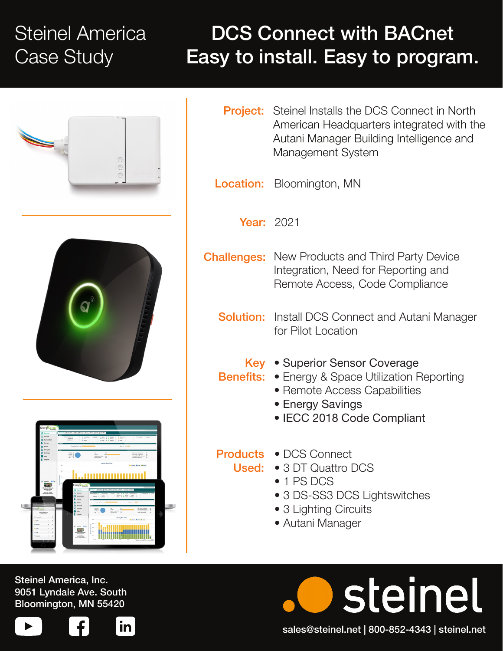## Steinel America Case Study

## DCS Connect with BACnet Easy to install. Easy to program.







- Project: Steinel Installs the DCS Connect in North American Headquarters integrated with the Autani Manager Building Intelligence and Management System
- Location: Bloomington, MN

Year: 2021

- **Challenges:** New Products and Third Party Device Integration, Need for Reporting and Remote Access, Code Compliance
	- **Solution:** Install DCS Connect and Autani Manager for Pilot Location
		- Key . Superior Sensor Coverage
	- Benefits: Energy & Space Utilization Reporting
		- Remote Access Capabilities
		- Energy Savings
		- IECC 2018 Code Compliant

- Products DCS Connect
	- Used: 3 DT Quattro DCS
		- 1 PS DCS
		- 3 DS-SS3 DCS Lightswitches
		- 3 Lighting Circuits
		- Autani Manager

Steinel America, Inc. 9051 Lyndale Ave. South Bloomington, MN 55420





steinel sales@steinel.net | 800-852-4343 | steinel.net